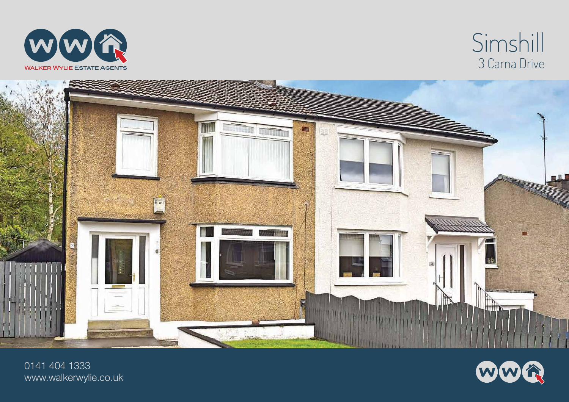

## Simshill 3 Carna Drive



0141 404 1333 www.walkerwylie.co.uk

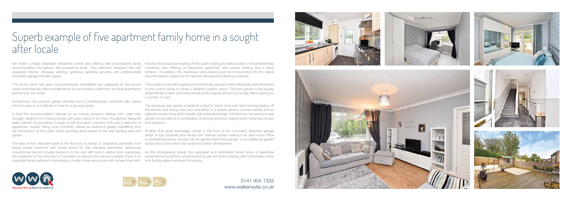# Superb example of five apartment family home in a sought after locale

Set within a highly desirable residential pocket and offering well proportioned family A further fixed staircase leading off the upper landing provides access to the professionally accommodation throughout, this exceptional three / four bedroom detached villa with converted attic offering an expansive apartment with central heating and a Velux upgraded interior, driveway parking, generous gardens grounds and professionally window. In addition, this impressive extra space could be incorporated into the overall concerted garage and attic space.

This family home has been comprehensively remodelled and upgraded by the current The property is set within generous front and rear gardens which have been well maintained owner and internally offers versatile family accommodation within five principle apartments by the current owner to create a delightful outdoor space. The front garden is laid equally formed over two levels.

Furthermore, the property greatly benefits from a professionally converted attic space which is open to a multitude of uses for a growing family.

storage; delightful front facing lounge with open views to the front; thoughtfully designed galley kitchen incorporating a range of wall and base mounted units and a selection of and seclusion. appliances; superb dining room (currently utilised as bedroom) greatly benefitting from garden.

In brief the accommodation extends to: an inviting reception hallway with under stair adjacent timber shed which greatly aids external storage. Furthermore, the spacious rear The generous rear garden is perfectly suited for family living with level decking leading off the kitchen and dining room and extending to a sizable section of loose stones and an garden is bounded by a combination of fencing and brick walling which enhances privacy

the introduction of twin patio doors providing level access to the rear decking area and Another final great advantage comes in the form of the converted detached garage which is fully powered and served with internet access making it an ideal home office or entertaining space. Access can be gained behind the garage to an additional garden

proportioned second double bedroom to the rear with built in sliding door wardrobes, As the photographs reveal, this upgraded and remodeled family home is beautifully third bedroom to the front and to complete the second floor accommodation there is an presented and is further complimented by gas fire central heating with combination boiler



accommodation subject to the relevant retrospective planning consents.

The fixed timber staircase leads to the first floor to reveal: a beautifully presented front space laid to lawn which has scope for further development. facing master bedroom with ample space for free standing wardrobes; generously upgraded family bathroom comprising a modern three piece suite with shower over bath. and double glazed windows throughout.

proportioned to lawn and loose stones while a paved section to the side offers parking for a number of cars.

> 0141 404 1333 www.walkerwylie.co.uk